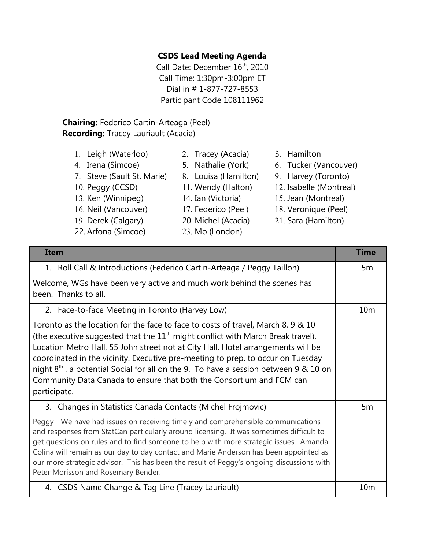## **CSDS Lead Meeting Agenda**

Call Date: December 16<sup>th</sup>, 2010 Call Time: 1:30pm-3:00pm ET Dial in # 1-877-727-8553 Participant Code 108111962

## **Chairing:** Federico Cartín-Arteaga (Peel) **Recording:** Tracey Lauriault (Acacia)

1. Leigh (Waterloo) 2. Tracey (Acacia) 3. Hamilton 4. Irena (Simcoe) 5. Nathalie (York) 6. Tucker (Vancouver) 7. Steve (Sault St. Marie) 8. Louisa (Hamilton) 9. Harvey (Toronto) 10. Peggy (CCSD) 11. Wendy (Halton) 12. Isabelle (Montreal) 13. Ken (Winnipeg) 14. Ian (Victoria) 15. Jean (Montreal) 16. Neil (Vancouver) 17. Federico (Peel) 18. Veronique (Peel) 19. Derek (Calgary) 20. Michel (Acacia) 21. Sara (Hamilton) 22. Arfona (Simcoe) 23. Mo (London)

| <b>Item</b>                                                                                                                                                                                                                                                                                                                                                                                                                                                                                                                    | <b>Time</b>     |
|--------------------------------------------------------------------------------------------------------------------------------------------------------------------------------------------------------------------------------------------------------------------------------------------------------------------------------------------------------------------------------------------------------------------------------------------------------------------------------------------------------------------------------|-----------------|
| 1. Roll Call & Introductions (Federico Cartin-Arteaga / Peggy Taillon)                                                                                                                                                                                                                                                                                                                                                                                                                                                         | 5m              |
| Welcome, WGs have been very active and much work behind the scenes has<br>been. Thanks to all.                                                                                                                                                                                                                                                                                                                                                                                                                                 |                 |
| 2. Face-to-face Meeting in Toronto (Harvey Low)                                                                                                                                                                                                                                                                                                                                                                                                                                                                                | 10 <sub>m</sub> |
| Toronto as the location for the face to face to costs of travel, March 8, 9 & 10<br>(the executive suggested that the $11th$ might conflict with March Break travel).<br>Location Metro Hall, 55 John street not at City Hall. Hotel arrangements will be<br>coordinated in the vicinity. Executive pre-meeting to prep. to occur on Tuesday<br>night $8th$ , a potential Social for all on the 9. To have a session between 9 & 10 on<br>Community Data Canada to ensure that both the Consortium and FCM can<br>participate. |                 |
| 3. Changes in Statistics Canada Contacts (Michel Frojmovic)                                                                                                                                                                                                                                                                                                                                                                                                                                                                    | 5 <sub>m</sub>  |
| Peggy - We have had issues on receiving timely and comprehensible communications<br>and responses from StatCan particularly around licensing. It was sometimes difficult to<br>get questions on rules and to find someone to help with more strategic issues. Amanda<br>Colina will remain as our day to day contact and Marie Anderson has been appointed as<br>our more strategic advisor. This has been the result of Peggy's ongoing discussions with<br>Peter Morisson and Rosemary Bender.                               |                 |
| 4. CSDS Name Change & Tag Line (Tracey Lauriault)                                                                                                                                                                                                                                                                                                                                                                                                                                                                              | 10 <sub>m</sub> |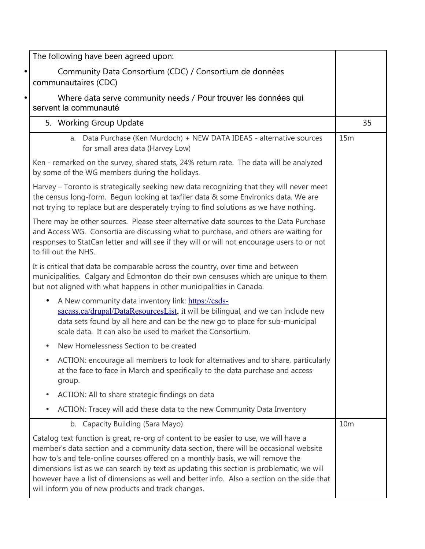|           | The following have been agreed upon:                                                                                                                                                                                                                                                                                                                                                                                                                                                                              |                 |    |
|-----------|-------------------------------------------------------------------------------------------------------------------------------------------------------------------------------------------------------------------------------------------------------------------------------------------------------------------------------------------------------------------------------------------------------------------------------------------------------------------------------------------------------------------|-----------------|----|
|           | Community Data Consortium (CDC) / Consortium de données<br>communautaires (CDC)                                                                                                                                                                                                                                                                                                                                                                                                                                   |                 |    |
| $\bullet$ | Where data serve community needs / Pour trouver les données qui<br>servent la communauté                                                                                                                                                                                                                                                                                                                                                                                                                          |                 |    |
|           | 5. Working Group Update                                                                                                                                                                                                                                                                                                                                                                                                                                                                                           |                 | 35 |
|           | a. Data Purchase (Ken Murdoch) + NEW DATA IDEAS - alternative sources<br>for small area data (Harvey Low)                                                                                                                                                                                                                                                                                                                                                                                                         | 15m             |    |
|           | Ken - remarked on the survey, shared stats, 24% return rate. The data will be analyzed<br>by some of the WG members during the holidays.                                                                                                                                                                                                                                                                                                                                                                          |                 |    |
|           | Harvey – Toronto is strategically seeking new data recognizing that they will never meet<br>the census long-form. Begun looking at taxfiler data & some Environics data. We are<br>not trying to replace but are desperately trying to find solutions as we have nothing.                                                                                                                                                                                                                                         |                 |    |
|           | There may be other sources. Please steer alternative data sources to the Data Purchase<br>and Access WG. Consortia are discussing what to purchase, and others are waiting for<br>responses to StatCan letter and will see if they will or will not encourage users to or not<br>to fill out the NHS.                                                                                                                                                                                                             |                 |    |
|           | It is critical that data be comparable across the country, over time and between<br>municipalities. Calgary and Edmonton do their own censuses which are unique to them<br>but not aligned with what happens in other municipalities in Canada.                                                                                                                                                                                                                                                                   |                 |    |
|           | A New community data inventory link: https://csds-<br>$\bullet$<br>sacass.ca/drupal/DataResourcesList, it will be bilingual, and we can include new<br>data sets found by all here and can be the new go to place for sub-municipal<br>scale data. It can also be used to market the Consortium.                                                                                                                                                                                                                  |                 |    |
|           | New Homelessness Section to be created                                                                                                                                                                                                                                                                                                                                                                                                                                                                            |                 |    |
|           | ACTION: encourage all members to look for alternatives and to share, particularly<br>at the face to face in March and specifically to the data purchase and access<br>group.                                                                                                                                                                                                                                                                                                                                      |                 |    |
|           | ACTION: All to share strategic findings on data                                                                                                                                                                                                                                                                                                                                                                                                                                                                   |                 |    |
|           | ACTION: Tracey will add these data to the new Community Data Inventory                                                                                                                                                                                                                                                                                                                                                                                                                                            |                 |    |
|           | b. Capacity Building (Sara Mayo)                                                                                                                                                                                                                                                                                                                                                                                                                                                                                  | 10 <sub>m</sub> |    |
|           | Catalog text function is great, re-org of content to be easier to use, we will have a<br>member's data section and a community data section, there will be occasional website<br>how to's and tele-online courses offered on a monthly basis, we will remove the<br>dimensions list as we can search by text as updating this section is problematic, we will<br>however have a list of dimensions as well and better info. Also a section on the side that<br>will inform you of new products and track changes. |                 |    |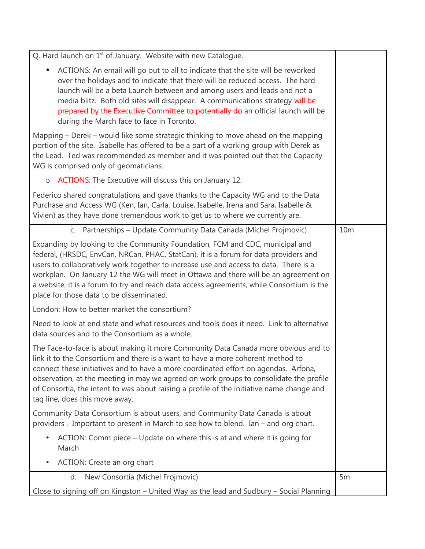| Q. Hard launch on $1st$ of January. Website with new Catalogue.                                                                                                                                                                                                                                                                                                                                                                                                                                |                 |
|------------------------------------------------------------------------------------------------------------------------------------------------------------------------------------------------------------------------------------------------------------------------------------------------------------------------------------------------------------------------------------------------------------------------------------------------------------------------------------------------|-----------------|
| ACTIONS: An email will go out to all to indicate that the site will be reworked<br>$\bullet$<br>over the holidays and to indicate that there will be reduced access. The hard<br>launch will be a beta Launch between and among users and leads and not a<br>media blitz. Both old sites will disappear. A communications strategy will be<br>prepared by the Executive Committee to potentially do an official launch will be<br>during the March face to face in Toronto.                    |                 |
| Mapping – Derek – would like some strategic thinking to move ahead on the mapping<br>portion of the site. Isabelle has offered to be a part of a working group with Derek as<br>the Lead. Ted was recommended as member and it was pointed out that the Capacity<br>WG is comprised only of geomaticians.                                                                                                                                                                                      |                 |
| ACTIONS: The Executive will discuss this on January 12.<br>$\circ$                                                                                                                                                                                                                                                                                                                                                                                                                             |                 |
| Federico shared congratulations and gave thanks to the Capacity WG and to the Data<br>Purchase and Access WG (Ken, Ian, Carla, Louise, Isabelle, Irena and Sara, Isabelle &<br>Vivien) as they have done tremendous work to get us to where we currently are.                                                                                                                                                                                                                                  |                 |
| c. Partnerships - Update Community Data Canada (Michel Frojmovic)                                                                                                                                                                                                                                                                                                                                                                                                                              | 10 <sub>m</sub> |
| Expanding by looking to the Community Foundation, FCM and CDC, municipal and<br>federal, (HRSDC, EnvCan, NRCan, PHAC, StatCan), it is a forum for data providers and<br>users to collaboratively work together to increase use and access to data. There is a<br>workplan. On January 12 the WG will meet in Ottawa and there will be an agreement on<br>a website, it is a forum to try and reach data access agreements, while Consortium is the<br>place for those data to be disseminated. |                 |
| London: How to better market the consortium?                                                                                                                                                                                                                                                                                                                                                                                                                                                   |                 |
| Need to look at end state and what resources and tools does it need. Link to alternative<br>data sources and to the Consortium as a whole.                                                                                                                                                                                                                                                                                                                                                     |                 |
| The Face-to-face is about making it more Community Data Canada more obvious and to<br>link it to the Consortium and there is a want to have a more coherent method to<br>connect these initiatives and to have a more coordinated effort on agendas. Arfona,<br>observation, at the meeting in may we agreed on work groups to consolidate the profile<br>of Consortia, the intent to was about raising a profile of the initiative name change and<br>tag line, does this move away.          |                 |
| Community Data Consortium is about users, and Community Data Canada is about<br>providers. Important to present in March to see how to blend. Ian - and org chart.                                                                                                                                                                                                                                                                                                                             |                 |
| ACTION: Comm piece – Update on where this is at and where it is going for<br>$\bullet$<br>March                                                                                                                                                                                                                                                                                                                                                                                                |                 |
| ACTION: Create an org chart                                                                                                                                                                                                                                                                                                                                                                                                                                                                    |                 |
| New Consortia (Michel Frojmovic)<br>d.                                                                                                                                                                                                                                                                                                                                                                                                                                                         | 5 <sub>m</sub>  |
| Close to signing off on Kingston – United Way as the lead and Sudbury – Social Planning                                                                                                                                                                                                                                                                                                                                                                                                        |                 |